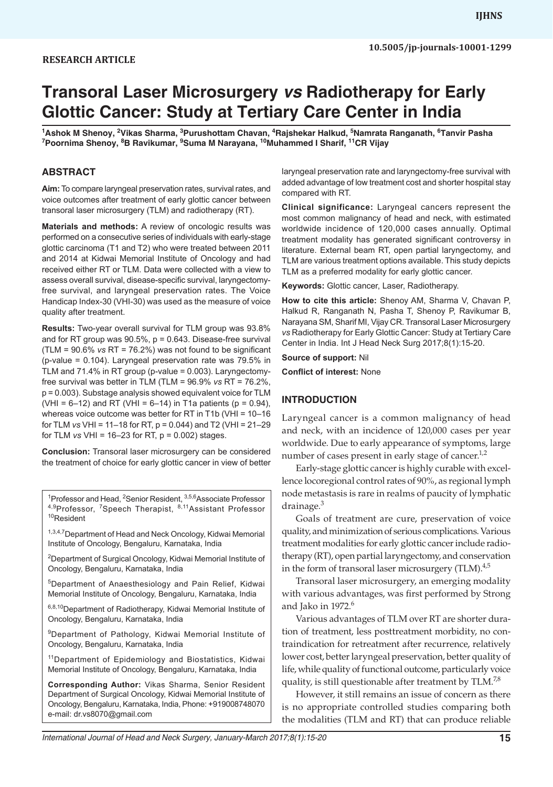# **Transoral Laser Microsurgery** *vs* **Radiotherapy for Early Glottic Cancer: Study at Tertiary Care Center in India**

<sup>1</sup>Ashok M Shenoy, <sup>2</sup>Vikas Sharma, <sup>3</sup>Purushottam Chavan, <sup>4</sup>Rajshekar Halkud, <sup>5</sup>Namrata Ranganath, <sup>6</sup>Tanvir Pasha<br><sup>7</sup>Poornima Shenov, <sup>8</sup>B Bavikumar, <sup>9</sup>Suma M Narayana, <sup>10</sup>Muhammed I Sharif, <sup>11</sup>CB Vijav **Poornima Shenoy, 8 B Ravikumar, <sup>9</sup> Suma M Narayana, 10Muhammed I Sharif, 11CR Vijay**

## **ABSTRACT**

**Aim:** To compare laryngeal preservation rates, survival rates, and voice outcomes after treatment of early glottic cancer between transoral laser microsurgery (TLM) and radiotherapy (RT).

**Materials and methods:** A review of oncologic results was performed on a consecutive series of individuals with early-stage glottic carcinoma (T1 and T2) who were treated between 2011 and 2014 at Kidwai Memorial Institute of Oncology and had received either RT or TLM. Data were collected with a view to assess overall survival, disease-specific survival, laryngectomyfree survival, and laryngeal preservation rates. The Voice Handicap Index-30 (VHI-30) was used as the measure of voice quality after treatment.

**Results:** Two-year overall survival for TLM group was 93.8% and for RT group was  $90.5\%$ ,  $p = 0.643$ . Disease-free survival (TLM = 90.6% *vs* RT = 76.2%) was not found to be significant (p-value = 0.104). Laryngeal preservation rate was 79.5% in TLM and 71.4% in RT group (p-value = 0.003). Laryngectomyfree survival was better in TLM (TLM = 96.9% *vs* RT = 76.2%, p = 0.003). Substage analysis showed equivalent voice for TLM (VHI =  $6-12$ ) and RT (VHI =  $6-14$ ) in T1a patients (p = 0.94), whereas voice outcome was better for RT in T1b (VHI = 10–16 for TLM *vs* VHI = 11–18 for RT, p = 0.044) and T2 (VHI = 21–29 for TLM *vs* VHI = 16–23 for RT, p = 0.002) stages.

**Conclusion:** Transoral laser microsurgery can be considered the treatment of choice for early glottic cancer in view of better

<sup>1</sup> Professor and Head, <sup>2</sup> Senior Resident, <sup>3,5,6</sup> Associate Professor 4,9Professor, <sup>7</sup>Speech Therapist, <sup>8,11</sup>Assistant Professor <sup>10</sup>Resident

1,3,4,7 Department of Head and Neck Oncology, Kidwai Memorial Institute of Oncology, Bengaluru, Karnataka, India

<sup>2</sup>Department of Surgical Oncology, Kidwai Memorial Institute of Oncology, Bengaluru, Karnataka, India

5Department of Anaesthesiology and Pain Relief, Kidwai Memorial Institute of Oncology, Bengaluru, Karnataka, India

6,8,10 Department of Radiotherapy, Kidwai Memorial Institute of Oncology, Bengaluru, Karnataka, India

9Department of Pathology, Kidwai Memorial Institute of Oncology, Bengaluru, Karnataka, India

<sup>11</sup>Department of Epidemiology and Biostatistics, Kidwai Memorial Institute of Oncology, Bengaluru, Karnataka, India

**Corresponding Author:** Vikas Sharma, Senior Resident Department of Surgical Oncology, Kidwai Memorial Institute of Oncology, Bengaluru, Karnataka, India, Phone: +919008748070 e-mail: dr.vs8070@gmail.com

laryngeal preservation rate and laryngectomy-free survival with added advantage of low treatment cost and shorter hospital stay compared with RT.

**Clinical significance:** Laryngeal cancers represent the most common malignancy of head and neck, with estimated worldwide incidence of 120,000 cases annually. Optimal treatment modality has generated significant controversy in literature. External beam RT, open partial laryngectomy, and TLM are various treatment options available. This study depicts TLM as a preferred modality for early glottic cancer.

**Keywords:** Glottic cancer, Laser, Radiotherapy.

**How to cite this article:** Shenoy AM, Sharma V, Chavan P, Halkud R, Ranganath N, Pasha T, Shenoy P, Ravikumar B, Narayana SM, Sharif MI, Vijay CR. Transoral Laser Microsurgery *vs* Radiotherapy for Early Glottic Cancer: Study at Tertiary Care Center in India. Int J Head Neck Surg 2017;8(1):15-20.

**Source of support:** Nil

**Conflict of interest:** None

## **INTRODUCTION**

Laryngeal cancer is a common malignancy of head and neck, with an incidence of 120,000 cases per year worldwide. Due to early appearance of symptoms, large number of cases present in early stage of cancer.<sup>1,2</sup>

Early-stage glottic cancer is highly curable with excellence locoregional control rates of 90%, as regional lymph node metastasis is rare in realms of paucity of lymphatic drainage.<sup>3</sup>

Goals of treatment are cure, preservation of voice quality, and minimization of serious complications. Various treatment modalities for early glottic cancer include radiotherapy (RT), open partial laryngectomy, and conservation in the form of transoral laser microsurgery  $(TLM).$ <sup>4,5</sup>

Transoral laser microsurgery, an emerging modality with various advantages, was first performed by Strong and Jako in  $1972.<sup>6</sup>$ 

Various advantages of TLM over RT are shorter duration of treatment, less posttreatment morbidity, no contraindication for retreatment after recurrence, relatively lower cost, better laryngeal preservation, better quality of life, while quality of functional outcome, particularly voice quality, is still questionable after treatment by  $TLM.^{7,8}$ 

However, it still remains an issue of concern as there is no appropriate controlled studies comparing both the modalities (TLM and RT) that can produce reliable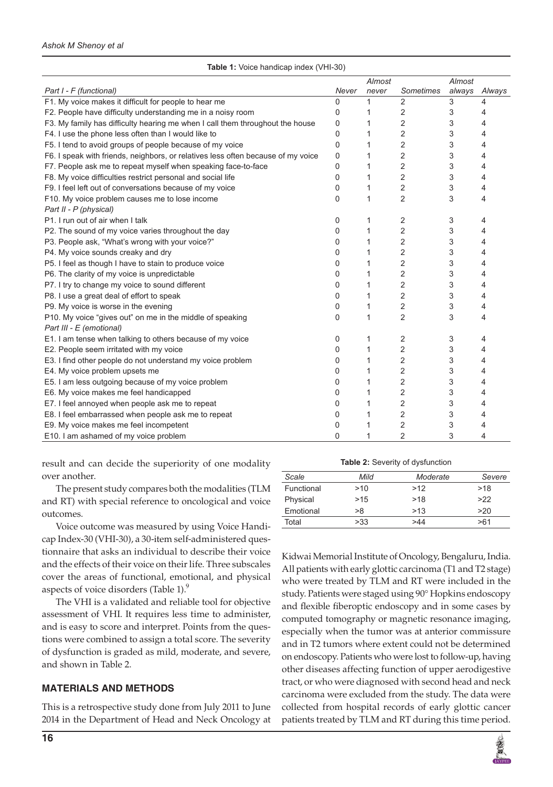|                                                                                  |          | Almost |                  | Almost |        |
|----------------------------------------------------------------------------------|----------|--------|------------------|--------|--------|
| Part I - F (functional)                                                          | Never    | never  | <b>Sometimes</b> | always | Always |
| F1. My voice makes it difficult for people to hear me                            | 0        | 1      | 2                | 3      | 4      |
| F2. People have difficulty understanding me in a noisy room                      | 0        | 1      | 2                | 3      | 4      |
| F3. My family has difficulty hearing me when I call them throughout the house    | 0        | 1      | 2                | 3      | 4      |
| F4. I use the phone less often than I would like to                              | 0        | 1      | 2                | 3      | 4      |
| F5. I tend to avoid groups of people because of my voice                         | 0        | 1      | 2                | 3      | 4      |
| F6. I speak with friends, neighbors, or relatives less often because of my voice | $\Omega$ |        | $\overline{2}$   | 3      | 4      |
| F7. People ask me to repeat myself when speaking face-to-face                    | 0        |        | 2                | 3      | 4      |
| F8. My voice difficulties restrict personal and social life                      | 0        | 1      | $\overline{2}$   | 3      | 4      |
| F9. I feel left out of conversations because of my voice                         | 0        | 1      | 2                | 3      | 4      |
| F10. My voice problem causes me to lose income                                   | 0        | 1      | $\overline{2}$   | 3      | 4      |
| Part II - P (physical)                                                           |          |        |                  |        |        |
| P1. I run out of air when I talk                                                 | 0        |        | $\overline{2}$   | 3      | 4      |
| P2. The sound of my voice varies throughout the day                              | 0        | 1      | 2                | 3      | 4      |
| P3. People ask, "What's wrong with your voice?"                                  | 0        | 1      | $\overline{2}$   | 3      | 4      |
| P4. My voice sounds creaky and dry                                               | 0        | 1      | $\overline{2}$   | 3      | 4      |
| P5. I feel as though I have to stain to produce voice                            | $\Omega$ |        | 2                | 3      | 4      |
| P6. The clarity of my voice is unpredictable                                     | 0        |        | 2                | 3      | 4      |
| P7. I try to change my voice to sound different                                  | 0        | 1      | 2                | 3      | 4      |
| P8. I use a great deal of effort to speak                                        | 0        | 1      | $\overline{2}$   | 3      | 4      |
| P9. My voice is worse in the evening                                             | 0        | 1      | 2                | 3      | 4      |
| P10. My voice "gives out" on me in the middle of speaking                        | 0        | 1      | $\overline{2}$   | 3      | 4      |
| Part III - E (emotional)                                                         |          |        |                  |        |        |
| E1. I am tense when talking to others because of my voice                        | 0        | 1      | 2                | 3      | 4      |
| E2. People seem irritated with my voice                                          | 0        | 1      | 2                | 3      | 4      |
| E3. I find other people do not understand my voice problem                       | 0        | 1      | $\overline{2}$   | 3      | 4      |
| E4. My voice problem upsets me                                                   | 0        | 1      | 2                | 3      | 4      |
| E5. I am less outgoing because of my voice problem                               | 0        | 1      | $\overline{2}$   | 3      | 4      |
| E6. My voice makes me feel handicapped                                           | 0        |        | 2                | 3      | 4      |
| E7. I feel annoyed when people ask me to repeat                                  | 0        | 1      | $\overline{2}$   | 3      | 4      |
| E8. I feel embarrassed when people ask me to repeat                              | 0        |        | 2                | 3      | 4      |
| E9. My voice makes me feel incompetent                                           | 0        |        | $\overline{2}$   | 3      | 4      |
| E10. I am ashamed of my voice problem                                            | 0        | 1      | $\overline{2}$   | 3      | 4      |

**Table 1:** Voice handicap index (VHI-30)

result and can decide the superiority of one modality over another.

The present study compares both the modalities (TLM and RT) with special reference to oncological and voice outcomes.

Voice outcome was measured by using Voice Handicap Index-30 (VHI-30), a 30-item self-administered questionnaire that asks an individual to describe their voice and the effects of their voice on their life. Three subscales cover the areas of functional, emotional, and physical aspects of voice disorders (Table 1).<sup>9</sup>

The VHI is a validated and reliable tool for objective assessment of VHI. It requires less time to administer, and is easy to score and interpret. Points from the questions were combined to assign a total score. The severity of dysfunction is graded as mild, moderate, and severe, and shown in Table 2.

## **MATERIALS AND METHODS**

This is a retrospective study done from July 2011 to June 2014 in the Department of Head and Neck Oncology at

| Scale      | Mild | Moderate | Severe |
|------------|------|----------|--------|
| Functional | >10  | >12      | >18    |
| Physical   | >15  | >18      | >22    |
| Emotional  | >8   | >13      | >20    |
| Total      | >33  | >44      | >ห1    |

Kidwai Memorial Institute of Oncology, Bengaluru, India. All patients with early glottic carcinoma (T1 and T2 stage) who were treated by TLM and RT were included in the study. Patients were staged using 90° Hopkins endoscopy and flexible fiberoptic endoscopy and in some cases by computed tomography or magnetic resonance imaging, especially when the tumor was at anterior commissure and in T2 tumors where extent could not be determined on endoscopy. Patients who were lost to follow-up, having other diseases affecting function of upper aerodigestive tract, or who were diagnosed with second head and neck carcinoma were excluded from the study. The data were collected from hospital records of early glottic cancer patients treated by TLM and RT during this time period.

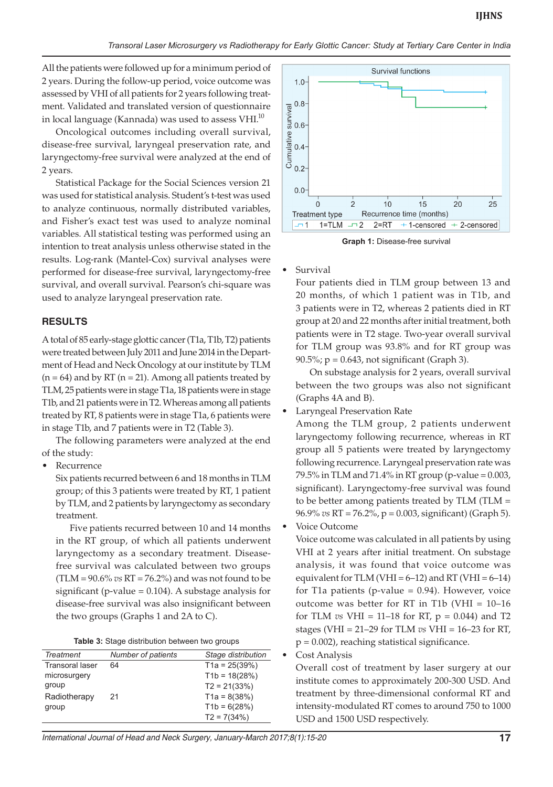All the patients were followed up for a minimum period of 2 years. During the follow-up period, voice outcome was assessed by VHI of all patients for 2 years following treatment. Validated and translated version of questionnaire in local language (Kannada) was used to assess  $VHI.<sup>10</sup>$ 

Oncological outcomes including overall survival, disease-free survival, laryngeal preservation rate, and laryngectomy-free survival were analyzed at the end of 2 years.

Statistical Package for the Social Sciences version 21 was used for statistical analysis. Student's t-test was used to analyze continuous, normally distributed variables, and Fisher's exact test was used to analyze nominal variables. All statistical testing was performed using an intention to treat analysis unless otherwise stated in the results. Log-rank (Mantel-Cox) survival analyses were performed for disease-free survival, laryngectomy-free survival, and overall survival. Pearson's chi-square was used to analyze laryngeal preservation rate.

#### **RESULTS**

A total of 85 early-stage glottic cancer (T1a, T1b, T2) patients were treated between July 2011 and June 2014 in the Department of Head and Neck Oncology at our institute by TLM  $(n = 64)$  and by RT  $(n = 21)$ . Among all patients treated by TLM, 25 patients were in stage T1a, 18 patients were in stage T1b, and 21 patients were in T2. Whereas among all patients treated by RT, 8 patients were in stage T1a, 6 patients were in stage T1b, and 7 patients were in T2 (Table 3).

The following parameters were analyzed at the end of the study:

**Recurrence** 

Six patients recurred between 6 and 18 months in TLM group; of this 3 patients were treated by RT, 1 patient by TLM, and 2 patients by laryngectomy as secondary treatment.

Five patients recurred between 10 and 14 months in the RT group, of which all patients underwent laryngectomy as a secondary treatment. Diseasefree survival was calculated between two groups (TLM = 90.6% *vs* RT = 76.2%) and was not found to be significant (p-value  $= 0.104$ ). A substage analysis for disease-free survival was also insignificant between the two groups (Graphs 1 and 2A to C).

| <b>Table 3:</b> Stage distribution between two groups |  |  |  |
|-------------------------------------------------------|--|--|--|
|-------------------------------------------------------|--|--|--|

| <b>Treatment</b>       | Number of patients | Stage distribution |
|------------------------|--------------------|--------------------|
| <b>Transoral laser</b> | 64                 | $T1a = 25(39%)$    |
| microsurgery           |                    | $T1b = 18(28%)$    |
| group                  |                    | $T2 = 21(33%)$     |
| Radiotherapy           | 21                 | $T1a = 8(38%)$     |
| group                  |                    | $T1b = 6(28%)$     |
|                        |                    | $T2 = 7(34%)$      |



**Graph 1:** Disease-free survival

**Survival** 

Four patients died in TLM group between 13 and 20 months, of which 1 patient was in T1b, and 3 patients were in T2, whereas 2 patients died in RT group at 20 and 22 months after initial treatment, both patients were in T2 stage. Two-year overall survival for TLM group was 93.8% and for RT group was  $90.5\%$ ; p = 0.643, not significant (Graph 3).

On substage analysis for 2 years, overall survival between the two groups was also not significant (Graphs 4A and B).

Laryngeal Preservation Rate

Among the TLM group, 2 patients underwent laryngectomy following recurrence, whereas in RT group all 5 patients were treated by laryngectomy following recurrence. Laryngeal preservation rate was 79.5% in TLM and 71.4% in RT group (p-value = 0.003, significant). Laryngectomy-free survival was found to be better among patients treated by TLM (TLM = 96.9% *vs* RT = 76.2%, p = 0.003, significant) (Graph 5).

Voice Outcome

Voice outcome was calculated in all patients by using VHI at 2 years after initial treatment. On substage analysis, it was found that voice outcome was equivalent for TLM (VHI =  $6-12$ ) and RT (VHI =  $6-14$ ) for T1a patients (p-value  $= 0.94$ ). However, voice outcome was better for RT in T1b (VHI = 10–16 for TLM *vs* VHI = 11–18 for RT, p = 0.044) and T2 stages (VHI = 21–29 for TLM *vs* VHI = 16–23 for RT,  $p = 0.002$ ), reaching statistical significance.

#### Cost Analysis

Overall cost of treatment by laser surgery at our institute comes to approximately 200-300 USD. And treatment by three-dimensional conformal RT and intensity-modulated RT comes to around 750 to 1000 USD and 1500 USD respectively.

*International Journal of Head and Neck Surgery, January-March 2017;8(1):15-20* **17**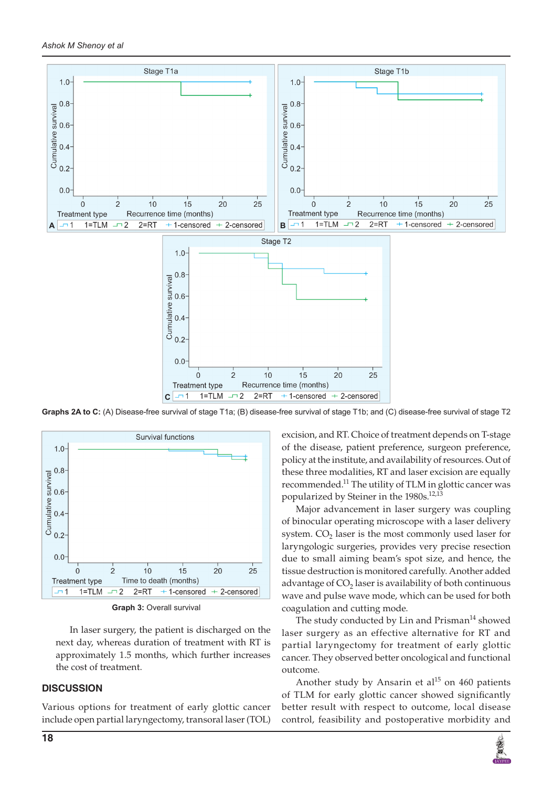

**Graphs 2A to C:** (A) Disease-free survival of stage T1a; (B) disease-free survival of stage T1b; and (C) disease-free survival of stage T2



**Graph 3:** Overall survival

In laser surgery, the patient is discharged on the next day, whereas duration of treatment with RT is approximately 1.5 months, which further increases the cost of treatment.

## **DISCUSSION**

Various options for treatment of early glottic cancer include open partial laryngectomy, transoral laser (TOL) excision, and RT. Choice of treatment depends on T-stage of the disease, patient preference, surgeon preference, policy at the institute, and availability of resources. Out of these three modalities, RT and laser excision are equally recommended.<sup>11</sup> The utility of TLM in glottic cancer was popularized by Steiner in the 1980s.<sup>12,13</sup>

Major advancement in laser surgery was coupling of binocular operating microscope with a laser delivery system.  $CO<sub>2</sub>$  laser is the most commonly used laser for laryngologic surgeries, provides very precise resection due to small aiming beam's spot size, and hence, the tissue destruction is monitored carefully. Another added advantage of  $CO<sub>2</sub>$  laser is availability of both continuous wave and pulse wave mode, which can be used for both coagulation and cutting mode.

The study conducted by Lin and  $Prisman<sup>14</sup>$  showed laser surgery as an effective alternative for RT and partial laryngectomy for treatment of early glottic cancer. They observed better oncological and functional outcome.

Another study by Ansarin et al<sup>15</sup> on 460 patients of TLM for early glottic cancer showed significantly better result with respect to outcome, local disease control, feasibility and postoperative morbidity and

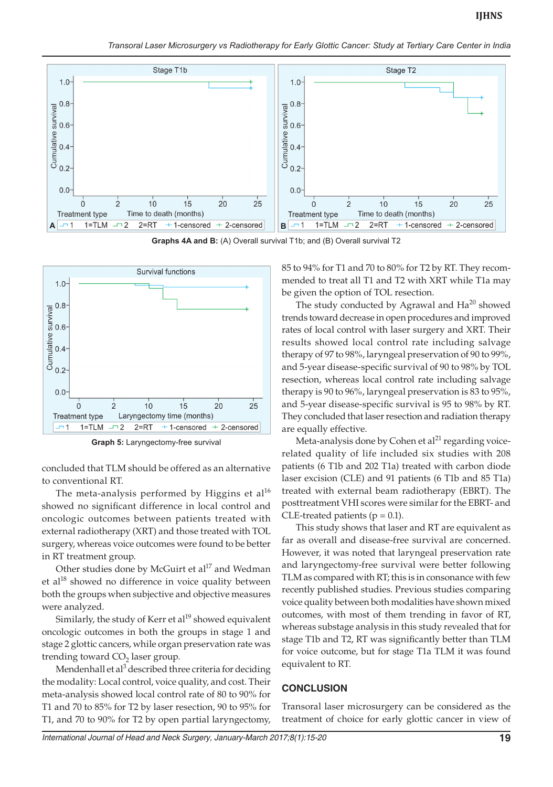*Transoral Laser Microsurgery vs Radiotherapy for Early Glottic Cancer: Study at Tertiary Care Center in India*



**Graphs 4A and B:** (A) Overall survival T1b; and (B) Overall survival T2



**Graph 5:** Laryngectomy-free survival

concluded that TLM should be offered as an alternative to conventional RT.

The meta-analysis performed by Higgins et al $^{16}$ showed no significant difference in local control and oncologic outcomes between patients treated with external radiotherapy (XRT) and those treated with TOL surgery, whereas voice outcomes were found to be better in RT treatment group.

Other studies done by McGuirt et  $al^{17}$  and Wedman et al<sup>18</sup> showed no difference in voice quality between both the groups when subjective and objective measures were analyzed.

Similarly, the study of Kerr et  $al^{19}$  showed equivalent oncologic outcomes in both the groups in stage 1 and stage 2 glottic cancers, while organ preservation rate was trending toward  $CO<sub>2</sub>$  laser group.

Mendenhall et al<sup>3</sup> described three criteria for deciding the modality: Local control, voice quality, and cost. Their meta-analysis showed local control rate of 80 to 90% for T1 and 70 to 85% for T2 by laser resection, 90 to 95% for T1, and 70 to 90% for T2 by open partial laryngectomy,

85 to 94% for T1 and 70 to 80% for T2 by RT. They recommended to treat all T1 and T2 with XRT while T1a may be given the option of TOL resection.

The study conducted by Agrawal and  $Ha^{20}$  showed trends toward decrease in open procedures and improved rates of local control with laser surgery and XRT. Their results showed local control rate including salvage therapy of 97 to 98%, laryngeal preservation of 90 to 99%, and 5-year disease-specific survival of 90 to 98% by TOL resection, whereas local control rate including salvage therapy is 90 to 96%, laryngeal preservation is 83 to 95%, and 5-year disease-specific survival is 95 to 98% by RT. They concluded that laser resection and radiation therapy are equally effective.

Meta-analysis done by Cohen et  $al<sup>21</sup>$  regarding voicerelated quality of life included six studies with 208 patients (6 T1b and 202 T1a) treated with carbon diode laser excision (CLE) and 91 patients (6 T1b and 85 T1a) treated with external beam radiotherapy (EBRT). The posttreatment VHI scores were similar for the EBRT- and CLE-treated patients ( $p = 0.1$ ).

This study shows that laser and RT are equivalent as far as overall and disease-free survival are concerned. However, it was noted that laryngeal preservation rate and laryngectomy-free survival were better following TLM as compared with RT; this is in consonance with few recently published studies. Previous studies comparing voice quality between both modalities have shown mixed outcomes, with most of them trending in favor of RT, whereas substage analysis in this study revealed that for stage T1b and T2, RT was significantly better than TLM for voice outcome, but for stage T1a TLM it was found equivalent to RT.

## **CONCLUSION**

Transoral laser microsurgery can be considered as the treatment of choice for early glottic cancer in view of